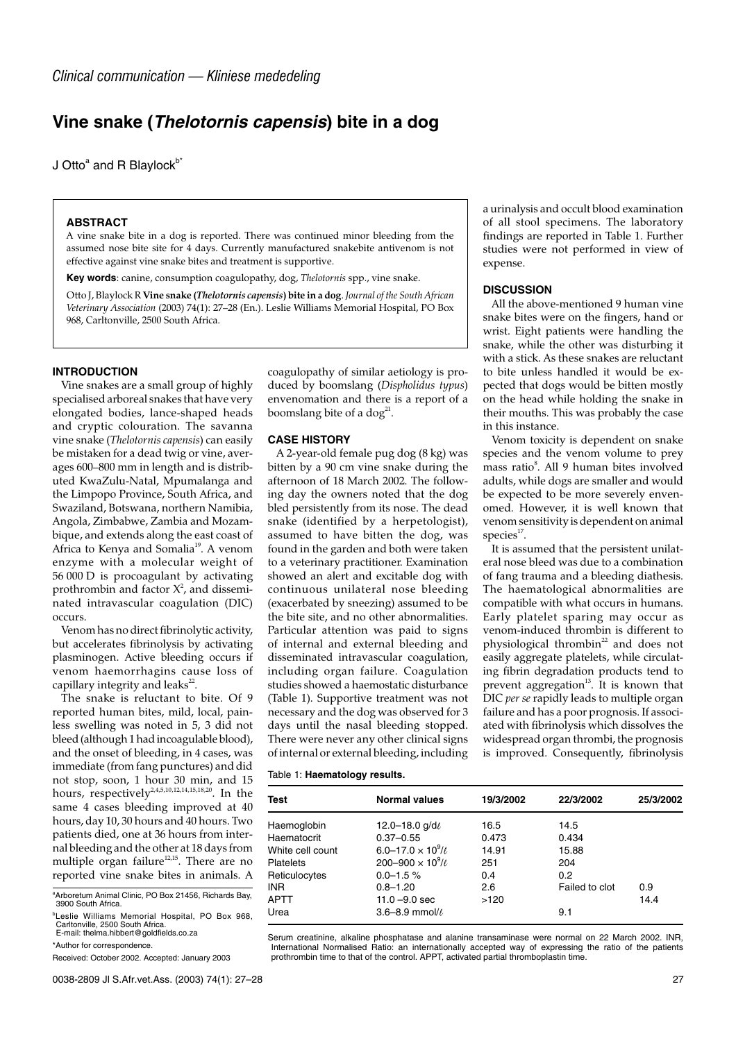# **Vine snake (Thelotornis capensis) bite in a dog**

J Otto $^a$  and R Blaylock $^{b^*}$ 

## **ABSTRACT**

A vine snake bite in a dog is reported. There was continued minor bleeding from the assumed nose bite site for 4 days. Currently manufactured snakebite antivenom is not effective against vine snake bites and treatment is supportive.

**Key words**: canine, consumption coagulopathy, dog, *Thelotornis* spp., vine snake.

Otto J, Blaylock R **Vine snake (***Thelotornis capensis***) bite in a dog**. *Journal of the South African Veterinary Association* (2003) 74(1): 27–28 (En.). Leslie Williams Memorial Hospital, PO Box 968, Carltonville, 2500 South Africa.

## **INTRODUCTION**

Vine snakes are a small group of highly specialised arboreal snakes that have very elongated bodies, lance-shaped heads and cryptic colouration. The savanna vine snake (*Thelotornis capensis*) can easily be mistaken for a dead twig or vine, averages 600–800 mm in length and is distributed KwaZulu-Natal, Mpumalanga and the Limpopo Province, South Africa, and Swaziland, Botswana, northern Namibia, Angola, Zimbabwe, Zambia and Mozambique, and extends along the east coast of Africa to Kenya and Somalia<sup>19</sup>. A venom enzyme with a molecular weight of 56 000 D is procoagulant by activating prothrombin and factor  $X^2$ , and disseminated intravascular coagulation (DIC) occurs.

Venom has no direct fibrinolytic activity, but accelerates fibrinolysis by activating plasminogen. Active bleeding occurs if venom haemorrhagins cause loss of capillary integrity and leaks $^{22}$ .

The snake is reluctant to bite. Of 9 reported human bites, mild, local, painless swelling was noted in 5, 3 did not bleed (although 1 had incoagulable blood), and the onset of bleeding, in 4 cases, was immediate (from fang punctures) and did not stop, soon, 1 hour 30 min, and 15 hours, respectively<sup>2,4,5,10,12,14,15,18,20</sup>. In the same 4 cases bleeding improved at 40 hours, day 10, 30 hours and 40 hours. Two patients died, one at 36 hours from internal bleeding and the other at 18 days from multiple organ failure<sup>12,15</sup>. There are no reported vine snake bites in animals. A

\*Author for correspondence.

Received: October 2002. Accepted: January 2003

coagulopathy of similar aetiology is produced by boomslang (*Dispholidus typus*) envenomation and there is a report of a boomslang bite of a dog<sup>21</sup>.

#### **CASE HISTORY**

A 2-year-old female pug dog (8 kg) was bitten by a 90 cm vine snake during the afternoon of 18 March 2002. The following day the owners noted that the dog bled persistently from its nose. The dead snake (identified by a herpetologist), assumed to have bitten the dog, was found in the garden and both were taken to a veterinary practitioner. Examination showed an alert and excitable dog with continuous unilateral nose bleeding (exacerbated by sneezing) assumed to be the bite site, and no other abnormalities. Particular attention was paid to signs of internal and external bleeding and disseminated intravascular coagulation, including organ failure. Coagulation studies showed a haemostatic disturbance (Table 1). Supportive treatment was not necessary and the dog was observed for 3 days until the nasal bleeding stopped. There were never any other clinical signs of internal or external bleeding, including

a urinalysis and occult blood examination of all stool specimens. The laboratory findings are reported in Table 1. Further studies were not performed in view of expense.

## **DISCUSSION**

All the above-mentioned 9 human vine snake bites were on the fingers, hand or wrist. Eight patients were handling the snake, while the other was disturbing it with a stick. As these snakes are reluctant to bite unless handled it would be expected that dogs would be bitten mostly on the head while holding the snake in their mouths. This was probably the case in this instance.

Venom toxicity is dependent on snake species and the venom volume to prey mass ratio<sup>8</sup>. All 9 human bites involved adults, while dogs are smaller and would be expected to be more severely envenomed. However, it is well known that venom sensitivity is dependent on animal species<sup>17</sup>.

It is assumed that the persistent unilateral nose bleed was due to a combination of fang trauma and a bleeding diathesis. The haematological abnormalities are compatible with what occurs in humans. Early platelet sparing may occur as venom-induced thrombin is different to physiological thrombin $^{22}$  and does not easily aggregate platelets, while circulating fibrin degradation products tend to prevent aggregation<sup>13</sup>. It is known that DIC *per se* rapidly leads to multiple organ failure and has a poor prognosis. If associated with fibrinolysis which dissolves the widespread organ thrombi, the prognosis is improved. Consequently, fibrinolysis

#### Table 1: **Haematology results.**

| Test             | <b>Normal values</b>                       | 19/3/2002 | 22/3/2002      | 25/3/2002 |
|------------------|--------------------------------------------|-----------|----------------|-----------|
| Haemoglobin      | 12.0-18.0 g/d $\ell$                       | 16.5      | 14.5           |           |
| Haematocrit      | $0.37 - 0.55$                              | 0.473     | 0.434          |           |
| White cell count | 6.0–17.0 $\times$ 10 <sup>9</sup> / $\ell$ | 14.91     | 15.88          |           |
| <b>Platelets</b> | 200-900 $\times$ 10 <sup>9</sup> / $\ell$  | 251       | 204            |           |
| Reticulocytes    | $0.0 - 1.5 \%$                             | 0.4       | 0.2            |           |
| INR.             | $0.8 - 1.20$                               | 2.6       | Failed to clot | 0.9       |
| APTT             | $11.0 - 9.0$ sec                           | >120      |                | 14.4      |
| Urea             | 3.6-8.9 mmol/ $\ell$                       |           | 9.1            |           |

Serum creatinine, alkaline phosphatase and alanine transaminase were normal on 22 March 2002. INR, International Normalised Ratio: an internationally accepted way of expressing the ratio of the patients prothrombin time to that of the control. APPT, activated partial thromboplastin time.

<sup>&</sup>lt;sup>a</sup> Arboretum Animal Clinic, PO Box 21456, Richards Bay, 3900 South Africa.

<sup>&</sup>lt;sup>b</sup>Leslie Williams Memorial Hospital, PO Box 968, Carltonville, 2500 South Africa. E-mail: thelma.hibbert@goldfields.co.za